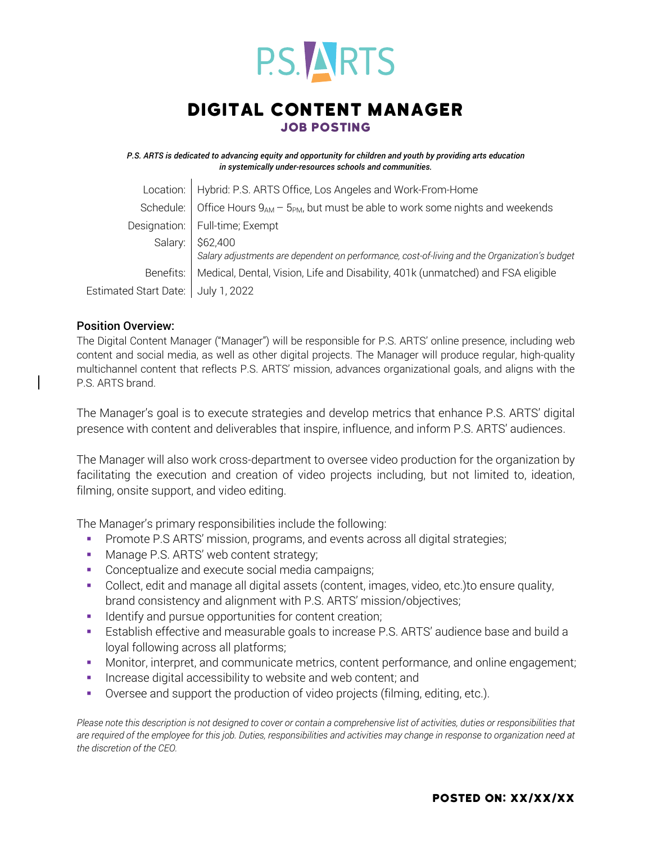

# Digital Content Manager Job Posting

*P.S. ARTS is dedicated to advancing equity and opportunity for children and youth by providing arts education in systemically under-resources schools and communities.*

|                                      | Location:   Hybrid: P.S. ARTS Office, Los Angeles and Work-From-Home                                              |
|--------------------------------------|-------------------------------------------------------------------------------------------------------------------|
|                                      | Schedule: $\vert$ Office Hours $9_{AM}$ – $5_{PM}$ , but must be able to work some nights and weekends            |
|                                      | Designation:   Full-time; Exempt                                                                                  |
|                                      | Salary: \$62,400<br>Salary adjustments are dependent on performance, cost-of-living and the Organization's budget |
| Benefits: I                          | Medical, Dental, Vision, Life and Disability, 401k (unmatched) and FSA eligible                                   |
| Estimated Start Date:   July 1, 2022 |                                                                                                                   |

#### Position Overview:

The Digital Content Manager ("Manager") will be responsible for P.S. ARTS' online presence, including web content and social media, as well as other digital projects. The Manager will produce regular, high-quality multichannel content that reflects P.S. ARTS' mission, advances organizational goals, and aligns with the P.S. ARTS brand.

The Manager's goal is to execute strategies and develop metrics that enhance P.S. ARTS' digital presence with content and deliverables that inspire, influence, and inform P.S. ARTS' audiences.

The Manager will also work cross-department to oversee video production for the organization by facilitating the execution and creation of video projects including, but not limited to, ideation, filming, onsite support, and video editing.

The Manager's primary responsibilities include the following:

- § Promote P.S ARTS' mission, programs, and events across all digital strategies;
- Manage P.S. ARTS' web content strategy;
- Conceptualize and execute social media campaigns;
- Collect, edit and manage all digital assets (content, images, video, etc.)to ensure quality, brand consistency and alignment with P.S. ARTS' mission/objectives;
- **•** Identify and pursue opportunities for content creation;
- § Establish effective and measurable goals to increase P.S. ARTS' audience base and build a loyal following across all platforms;
- § Monitor, interpret, and communicate metrics, content performance, and online engagement;
- **•** Increase digital accessibility to website and web content; and
- Oversee and support the production of video projects (filming, editing, etc.).

*Please note this description is not designed to cover or contain a comprehensive list of activities, duties or responsibilities that are required of the employee for this job. Duties, responsibilities and activities may change in response to organization need at the discretion of the CEO.*